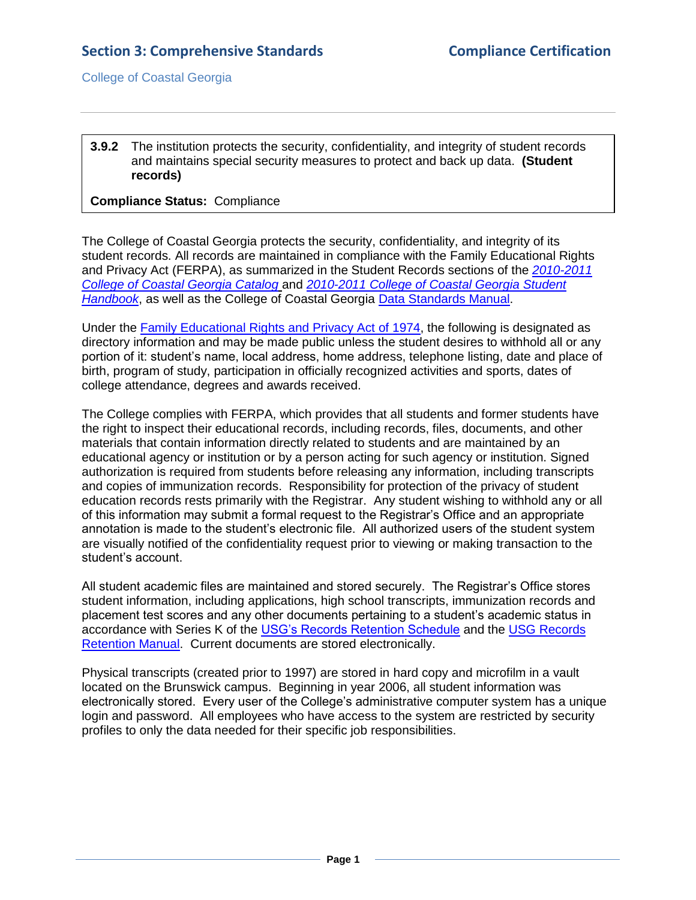College of Coastal Georgia

## **3.9.2** The institution protects the security, confidentiality, and integrity of student records and maintains special security measures to protect and back up data. **(Student records)**

## **Compliance Status:** Compliance

The College of Coastal Georgia protects the security, confidentiality, and integrity of its student records. All records are maintained in compliance with the Family Educational Rights and Privacy Act (FERPA), as summarized in the Student Records sections of the *[2010-2011](CCGAcatalog.pdf#page=35)  [College of Coastal Georgia Catalog](CCGAcatalog.pdf#page=35)* and *[2010-2011 College of Coastal Georgia Student](StudentHandbook.pdf#page=7)  [Handbook](StudentHandbook.pdf#page=7)*, as well as the College of Coastal Georgia [Data Standards Manual.](3.9.2.cCCGAdatastandardsmanual.pdf#page=1)

Under the [Family Educational Rights and Privacy Act of 1974,](3.9.2.dFERPA.html#page=1) the following is designated as directory information and may be made public unless the student desires to withhold all or any portion of it: student's name, local address, home address, telephone listing, date and place of birth, program of study, participation in officially recognized activities and sports, dates of college attendance, degrees and awards received.

The College complies with FERPA, which provides that all students and former students have the right to inspect their educational records, including records, files, documents, and other materials that contain information directly related to students and are maintained by an educational agency or institution or by a person acting for such agency or institution. Signed authorization is required from students before releasing any information, including transcripts and copies of immunization records. Responsibility for protection of the privacy of student education records rests primarily with the Registrar. Any student wishing to withhold any or all of this information may submit a formal request to the Registrar's Office and an appropriate annotation is made to the student's electronic file. All authorized users of the student system are visually notified of the confidentiality request prior to viewing or making transaction to the student's account.

All student academic files are maintained and stored securely. The Registrar's Office stores student information, including applications, high school transcripts, immunization records and placement test scores and any other documents pertaining to a student's academic status in accordance with Series K of the [USG's Records Retention Schedule](3.9.2.eUSGRecordsRetentionSchedule.htm#page=1) and the USG [Records](3.9.2.eUSGRecordsRetention.pdf#page=1)  [Retention Manual.](3.9.2.eUSGRecordsRetention.pdf#page=1) Current documents are stored electronically.

Physical transcripts (created prior to 1997) are stored in hard copy and microfilm in a vault located on the Brunswick campus. Beginning in year 2006, all student information was electronically stored. Every user of the College's administrative computer system has a unique login and password. All employees who have access to the system are restricted by security profiles to only the data needed for their specific job responsibilities.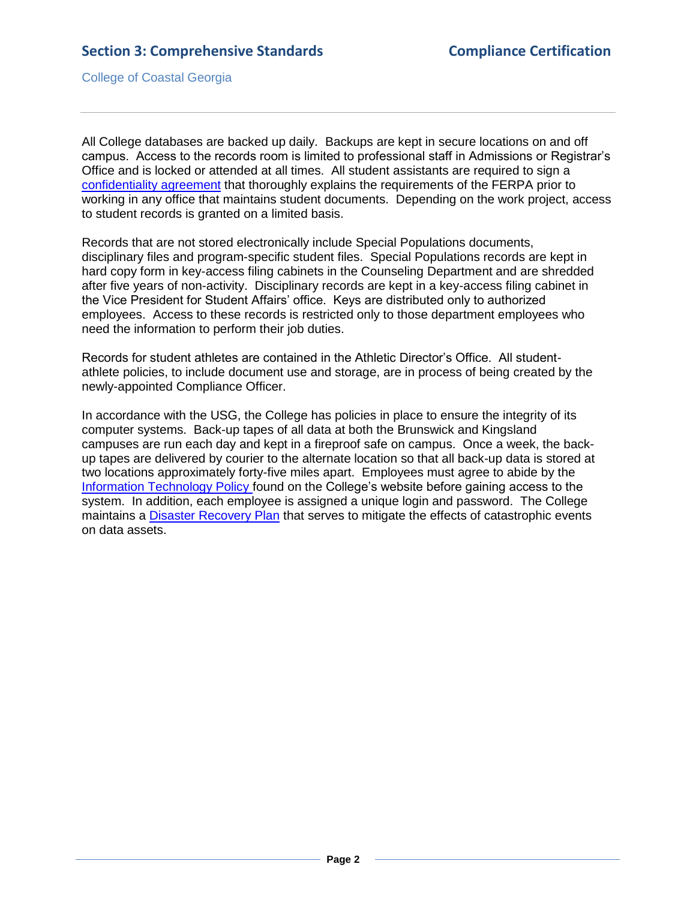College of Coastal Georgia

All College databases are backed up daily. Backups are kept in secure locations on and off campus. Access to the records room is limited to professional staff in Admissions or Registrar's Office and is locked or attended at all times. All student assistants are required to sign a [confidentiality](3.9.2.fConfidentialityAgreement.pdf#page=1) agreement that thoroughly explains the requirements of the FERPA prior to working in any office that maintains student documents. Depending on the work project, access to student records is granted on a limited basis.

Records that are not stored electronically include Special Populations documents, disciplinary files and program-specific student files. Special Populations records are kept in hard copy form in key-access filing cabinets in the Counseling Department and are shredded after five years of non-activity. Disciplinary records are kept in a key-access filing cabinet in the Vice President for Student Affairs' office. Keys are distributed only to authorized employees. Access to these records is restricted only to those department employees who need the information to perform their job duties.

Records for student athletes are contained in the Athletic Director's Office. All studentathlete policies, to include document use and storage, are in process of being created by the newly-appointed Compliance Officer.

In accordance with the USG, the College has policies in place to ensure the integrity of its computer systems. Back-up tapes of all data at both the Brunswick and Kingsland campuses are run each day and kept in a fireproof safe on campus. Once a week, the backup tapes are delivered by courier to the alternate location so that all back-up data is stored at two locations approximately forty-five miles apart. Employees must agree to abide by the [Information Technology Policy](3.9.2.gITpolicy.pdf#page=1) found on the College's website before gaining access to the system. In addition, each employee is assigned a unique login and password. The College maintains a [Disaster Recovery Plan](3.9.2.hDisasterRecoveryPlan.pdf#page=1) that serves to mitigate the effects of catastrophic events on data assets.